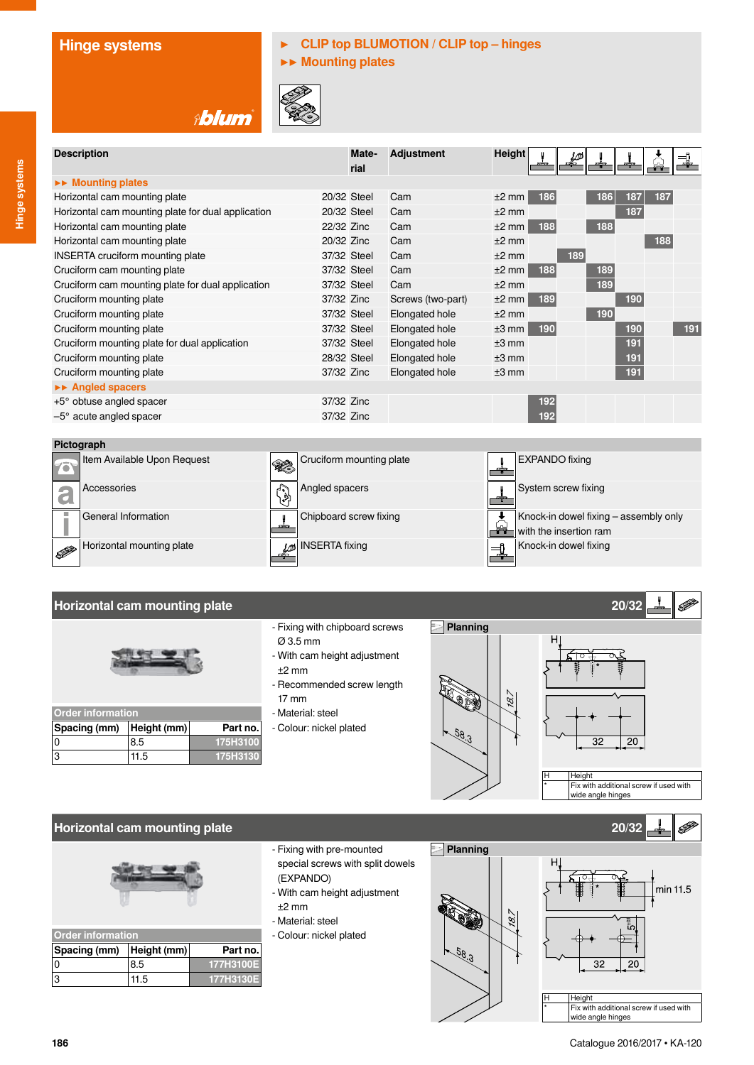## **Hinge systems ▶ CLIP top BLUMOTION / CLIP top – hinges**

**▶▶ Mounting plates**



| Mate- | <b>Adjustment</b>                                                                                                                                                                                                               | <b>Height</b> |                    | ₩       |     |     |     |     |
|-------|---------------------------------------------------------------------------------------------------------------------------------------------------------------------------------------------------------------------------------|---------------|--------------------|---------|-----|-----|-----|-----|
|       |                                                                                                                                                                                                                                 |               |                    |         |     |     |     |     |
|       |                                                                                                                                                                                                                                 |               |                    |         |     |     |     |     |
|       | Cam                                                                                                                                                                                                                             | $±2$ mm       | 186                |         | 186 | 187 | 187 |     |
|       | Cam                                                                                                                                                                                                                             | $±2$ mm       |                    |         |     | 187 |     |     |
|       | Cam                                                                                                                                                                                                                             |               | 188                |         | 188 |     |     |     |
|       | Cam                                                                                                                                                                                                                             | $+2$ mm       |                    |         |     |     | 188 |     |
|       | Cam                                                                                                                                                                                                                             | $+2$ mm       |                    | 189     |     |     |     |     |
|       | Cam                                                                                                                                                                                                                             |               | 188                |         | 189 |     |     |     |
|       | Cam                                                                                                                                                                                                                             | $±2$ mm       |                    |         | 189 |     |     |     |
|       | Screws (two-part)                                                                                                                                                                                                               | $±2$ mm       | 189                |         |     | 190 |     |     |
|       | Elongated hole                                                                                                                                                                                                                  | $±2$ mm       |                    |         | 190 |     |     |     |
|       | Elongated hole                                                                                                                                                                                                                  |               | 190                |         |     | 190 |     | 191 |
|       | Elongated hole                                                                                                                                                                                                                  | $±3$ mm       |                    |         |     | 191 |     |     |
|       | Elongated hole                                                                                                                                                                                                                  | $±3$ mm       |                    |         |     | 191 |     |     |
|       | Elongated hole                                                                                                                                                                                                                  | $+3$ mm       |                    |         |     | 191 |     |     |
|       |                                                                                                                                                                                                                                 |               |                    |         |     |     |     |     |
|       |                                                                                                                                                                                                                                 |               | 192                |         |     |     |     |     |
|       |                                                                                                                                                                                                                                 |               | 192                |         |     |     |     |     |
|       | rial<br>20/32 Steel<br>20/32 Steel<br>22/32 Zinc<br>20/32 Zinc<br>37/32 Steel<br>37/32 Steel<br>37/32 Steel<br>37/32 Zinc<br>37/32 Steel<br>37/32 Steel<br>37/32 Steel<br>28/32 Steel<br>37/32 Zinc<br>37/32 Zinc<br>37/32 Zinc |               | $±2$ mm<br>$±3$ mm | $±2$ mm |     |     |     |     |



### **Horizontal cam mounting plate 20/32**



| <b>Order information</b> |      |          |  |
|--------------------------|------|----------|--|
| Spacing (mm) Height (mm) |      | Part no. |  |
|                          | 8.5  | 175H3100 |  |
| lЗ                       | 11.5 | 175H3130 |  |

- Fixing with chipboard screws Ø 3.5 mm
- With cam height adjustment
- ±2 mm - Recommended screw length
- 17 mm - Material: steel
- Colour: nickel plated





#### **Horizontal cam mounting plate 20/32**



| <b>Order information</b> |             |           |  |
|--------------------------|-------------|-----------|--|
| Spacing (mm)             | Height (mm) | Part no.  |  |
|                          | 8.5         | 177H3100E |  |
|                          | 11.5        | 177H3130E |  |

- Fixing with pre-mounted special screws with split dowels (EXPANDO)
- With cam height adjustment  $+2$  mm
- Material: steel
- Colour: nickel plated



**Hinge systems**

Hinge systems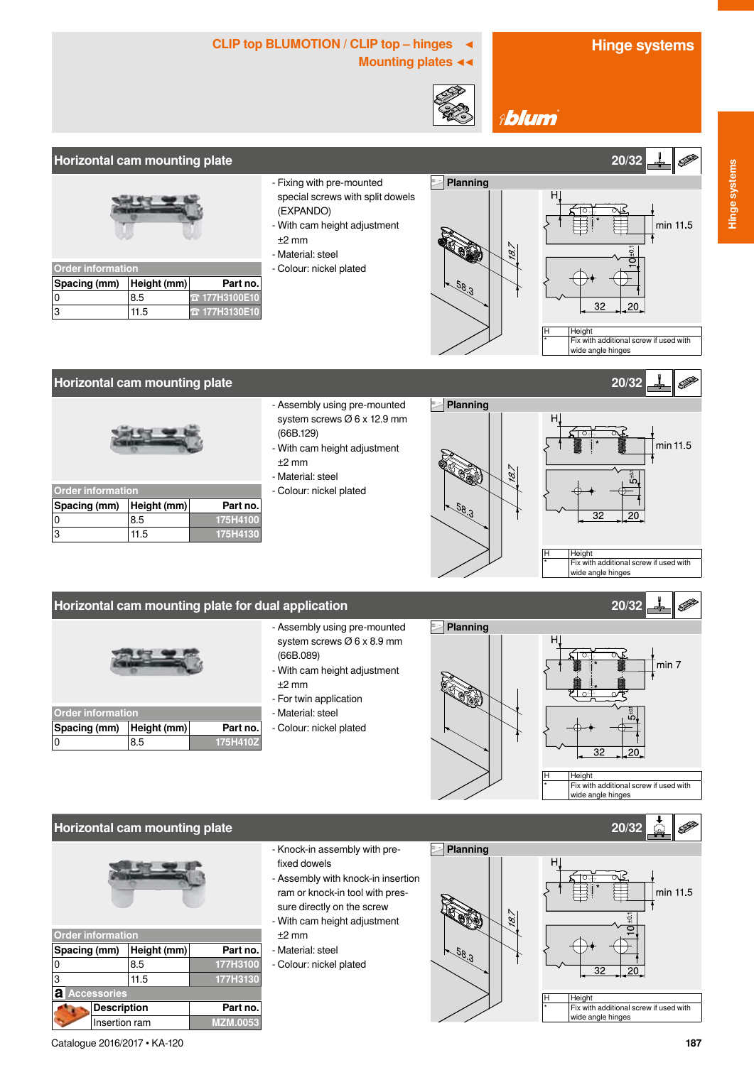## CLIP top BLUMOTION / CLIP top – hinges ◀ **Hinge systems**

**Mounting plates ◀◀**



**Ablum** 

#### **Horizontal cam mounting plate 20/32**



| <b>Order information</b> |      |                      |  |
|--------------------------|------|----------------------|--|
| Spacing (mm) Height (mm) |      | Part no.             |  |
|                          | 8.5  | <b>T</b> 177H3100E10 |  |
| 13                       | 11.5 | <b>T</b> 177H3130E10 |  |

- Fixing with pre-mounted special screws with split dowels (EXPANDO)
- With cam height adjustment ±2 mm
- Material: steel
- Colour: nickel plated



min 11.5 31 Height  $\frac{1}{1}$  Fix with additional screw if used with wide angle hinges

min 11.5

#### **Horizontal cam mounting plate 20/32**



| <b>Order information</b> |             |          |  |
|--------------------------|-------------|----------|--|
| Spacing (mm)             | Height (mm) | Part no. |  |
|                          | 8.5         | 175H4100 |  |
| 13                       | 11.5        | 175H4130 |  |

- Assembly using pre-mounted system screws Ø 6 x 12.9 mm (66B.129)
- With cam height adjustment ±2 mm
- Material: steel
- Colour: nickel plated



#### **Horizontal cam mounting plate for dual application 20/32**



| <b>Order information</b> |     |          |  |
|--------------------------|-----|----------|--|
| Spacing (mm) Height (mm) |     | Part no. |  |
| 10                       | 8.5 | 175H410Z |  |

- Assembly using pre-mounted system screws Ø 6 x 8.9 mm (66B.089)
- With cam height adjustment ±2 mm
- For twin application
- Material: steel
- Colour: nickel plated







| <b>Order information</b> |                    |                 |  |  |
|--------------------------|--------------------|-----------------|--|--|
| Spacing (mm)             | Height (mm)        | Part no.        |  |  |
| 0                        | 8.5                | 177H3100        |  |  |
| 3                        | 11.5               | 177H3130        |  |  |
| a<br><b>Accessories</b>  |                    |                 |  |  |
|                          | <b>Description</b> |                 |  |  |
| Insertion ram            |                    | <b>MZM.0053</b> |  |  |

- Knock-in assembly with prefixed dowels
- Assembly with knock-in insertion ram or knock-in tool with pressure directly on the screw - With cam height adjustment
- ±2 mm
- Material: steel
- Colour: nickel plated

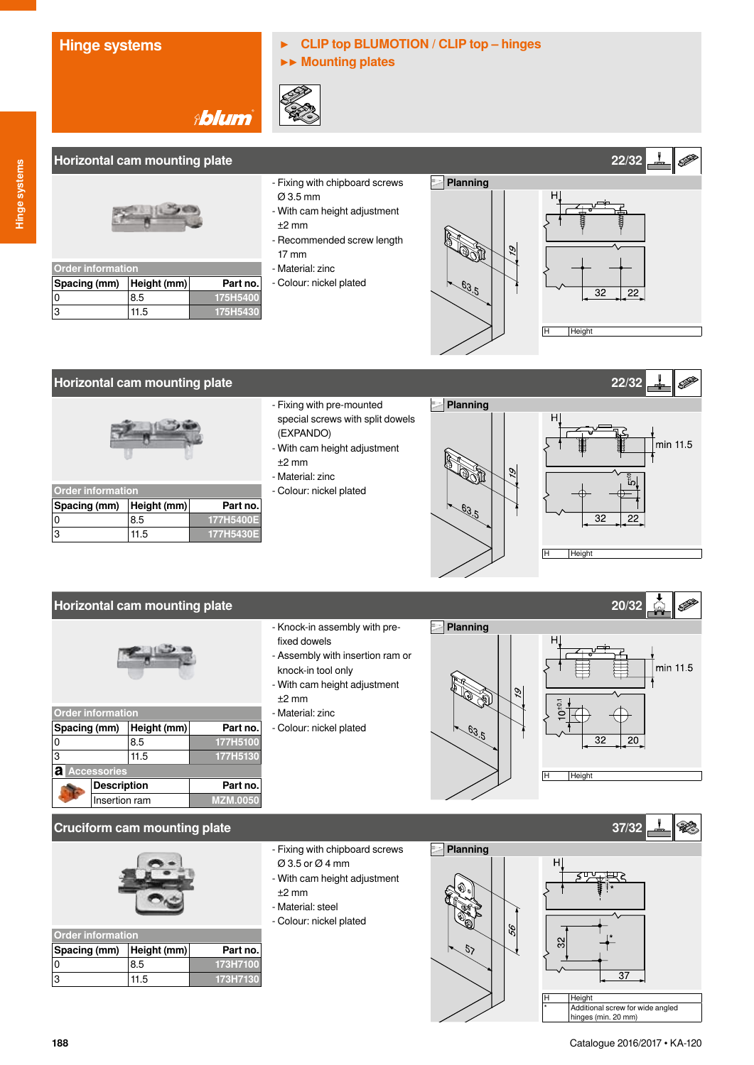# **Hinge systems ▶ CLIP top BLUMOTION / CLIP top – hinges**

**▶▶ Mounting plates**



### **Horizontal cam mounting plate 22/32**

| <b>Order information</b>   |      |          |  |
|----------------------------|------|----------|--|
| Spacing (mm)   Height (mm) |      | Part no. |  |
| 0                          | 8.5  | 175H5400 |  |
| 3                          | 11.5 | 175H5430 |  |

- Fixing with chipboard screws Ø 3.5 mm
- With cam height adjustment ±2 mm
- Recommended screw length 17 mm
- Material: zinc
- Colour: nickel plated



#### **Horizontal cam mounting plate 22/32**



| <b>Order information</b> |      |           |  |
|--------------------------|------|-----------|--|
| Spacing (mm) Height (mm) |      | Part no.  |  |
|                          | 8.5  | 177H5400E |  |
| ٦.                       | 11.5 | 177H5430E |  |

- Fixing with pre-mounted special screws with split dowels (EXPANDO)
- With cam height adjustment ±2 mm
- Material: zinc
- Colour: nickel plated





### **Horizontal cam mounting plate 20/32**



| <b>Order information</b> |                    |             |                 |  |
|--------------------------|--------------------|-------------|-----------------|--|
| Spacing (mm)             |                    | Height (mm) | Part no.        |  |
| 0                        |                    | 8.5         | 177H5100        |  |
| 3                        |                    | 11.5        | 177H5130        |  |
| а<br><b>Accessories</b>  |                    |             |                 |  |
|                          | <b>Description</b> |             | Part no.        |  |
|                          | Insertion ram      |             | <b>MZM.0050</b> |  |

- Knock-in assembly with prefixed dowels
- Assembly with insertion ram or knock-in tool only
- With cam height adjustment ±2 mm
- Material: zinc
- Colour: nickel plated





#### **Cruciform cam mounting plate 37/32**



| <b>Order information</b> |      |          |  |
|--------------------------|------|----------|--|
| Spacing (mm) Height (mm) |      | Part no. |  |
|                          | 8.5  | 173H7100 |  |
|                          | 11.5 | 173H7130 |  |

- Fixing with chipboard screws Ø 3.5 or Ø 4 mm
- With cam height adjustment
- $+2$  mm
- Material: steel
- Colour: nickel plated



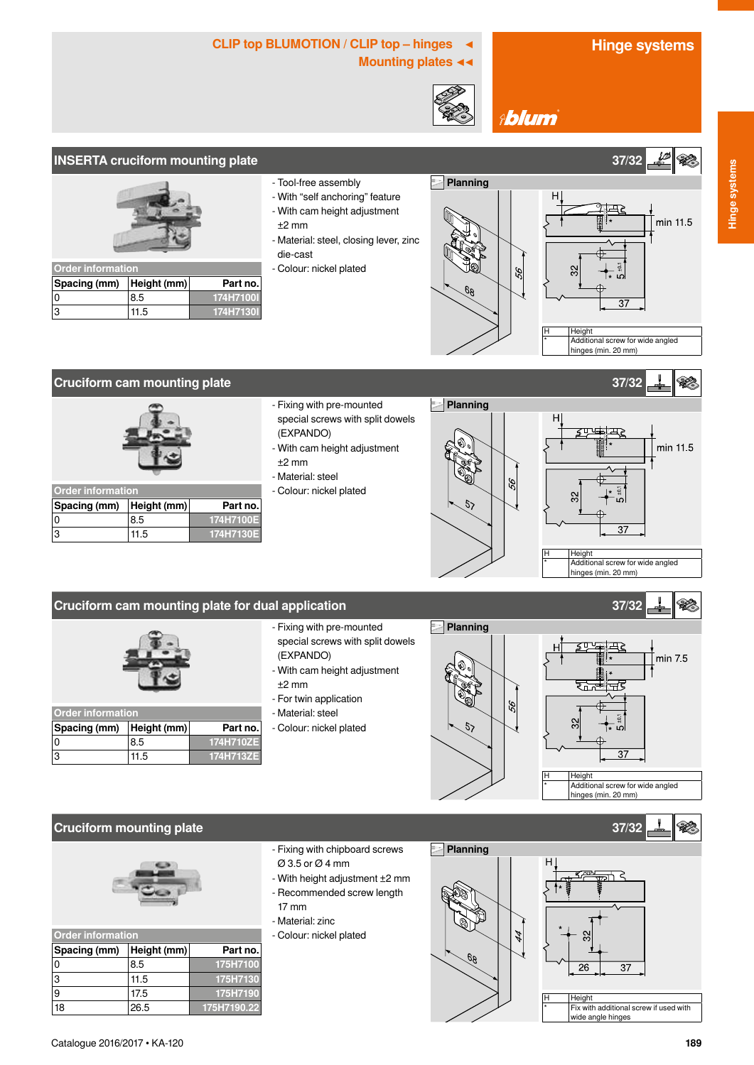# CLIP top BLUMOTION / CLIP top – hinges ◀ **Hinge systems**

**Mounting plates ◀◀**



**Ablum** 

### **INSERTA cruciform mounting plate 37/32**



| <b>Order information</b>   |      |           |  |
|----------------------------|------|-----------|--|
| Spacing (mm)   Height (mm) |      | Part no.  |  |
|                            | 8.5  | 174H7100I |  |
|                            | 11.5 | 174H7130I |  |

- Tool-free assembly
- With "self anchoring" feature
- With cam height adjustment
- ±2 mm
- Material: steel, closing lever, zinc die-cast
- Colour: nickel plated





#### **Cruciform cam mounting plate 37/32**



| <b>Order information</b> |      |           |
|--------------------------|------|-----------|
| Spacing (mm) Height (mm) |      | Part no.  |
|                          | 8.5  | 174H7100E |
| 3                        | 11.5 | 174H7130E |

- Fixing with pre-mounted special screws with split dowels (EXPANDO)
- With cam height adjustment ±2 mm
- Material: steel
- Colour: nickel plated

**Planning**





#### **Cruciform cam mounting plate for dual application 37/32**



| <b>Order information</b> |      |           |
|--------------------------|------|-----------|
| Spacing (mm) Height (mm) |      | Part no.  |
|                          | 8.5  | 174H710ZE |
| l 3                      | 11.5 | 174H713ZE |

- Fixing with pre-mounted special screws with split dowels (EXPANDO)
- With cam height adjustment ±2 mm
- For twin application
- Material: steel
- Colour: nickel plated





#### **Cruciform mounting plate 37/32**



| <b>Order information</b> |             |             |
|--------------------------|-------------|-------------|
| Spacing (mm)             | Height (mm) | Part no.    |
| 0                        | 8.5         | 175H7100    |
| 3                        | 11.5        | 175H7130    |
| 9                        | 17.5        | 175H7190    |
| 18                       | 26.5        | 175H7190.22 |

- Fixing with chipboard screws Ø 3.5 or Ø 4 mm
- With height adjustment ±2 mm - Recommended screw length
- 17 mm
- Material: zinc
- Colour: nickel plated





**SEP**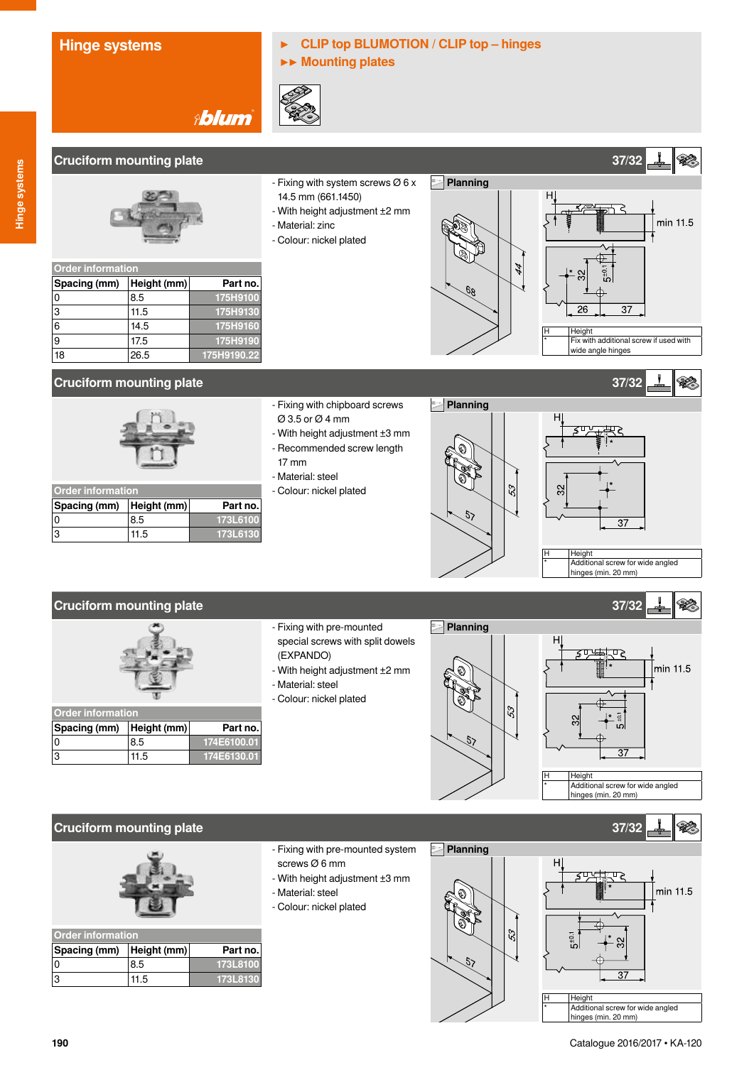# **Hinge systems ▶ CLIP top BLUMOTION / CLIP top – hinges**

**▶▶ Mounting plates**



## **Cruciform mounting plate 37/32**



0 8.5 **175H9100** 

|  | - Fixing with system screws Ø 6 x |  |
|--|-----------------------------------|--|
|  |                                   |  |

- 14.5 mm (661.1450)
- With height adjustment ±2 mm
- Material: zinc
- Colour: nickel plated





H Height<br>\* Fix with additional screw if used with

 $\mathscr{L}$ 

### **Cruciform mounting plate 37/32**



6 14.5 **175H9160**  9 17.5 **175H9190**  18 26.5 **175H9190.22**

| <b>Order information</b> |             |          |
|--------------------------|-------------|----------|
| Spacing (mm)             | Height (mm) | Part no. |
|                          | 8.5         | 173L6100 |
|                          | 11.5        | 173L6130 |

- Fixing with chipboard screws Ø 3.5 or Ø 4 mm
- With height adjustment ±3 mm - Recommended screw length
- $\overline{1}$  $-$  M
- Colour: nickel plated

**Planning**

 $5<sub>2</sub>$ 



#### **Cruciform mounting plate 37/32**



| <b>Order information</b> |             |             |
|--------------------------|-------------|-------------|
| Spacing (mm)             | Height (mm) | Part no.    |
|                          | 8.5         | 174E6100.01 |
| ß.                       | 11.5        | 174E6130.01 |

- Fixing with pre-mounted special screws with split dowels (EXPANDO)
- With height adjustment ±2 mm
- Material: steel
- Colour: nickel plated





### **Cruciform mounting plate 37/32**



| <b>Order information</b> |             |          |
|--------------------------|-------------|----------|
| Spacing (mm)             | Height (mm) | Part no. |
|                          | 8.5         | 173L8100 |
|                          | 11.5        | 173L8130 |

- Fixing with pre-mounted system screws Ø 6 mm
- With height adjustment ±3 mm
- Material: steel
- Colour: nickel plated





hinges (min. 20 mm)

**190**

| {ecommended screw length |  |
|--------------------------|--|
| 7 mm                     |  |
| Aaterial: steel          |  |
| Colour: nickel plated    |  |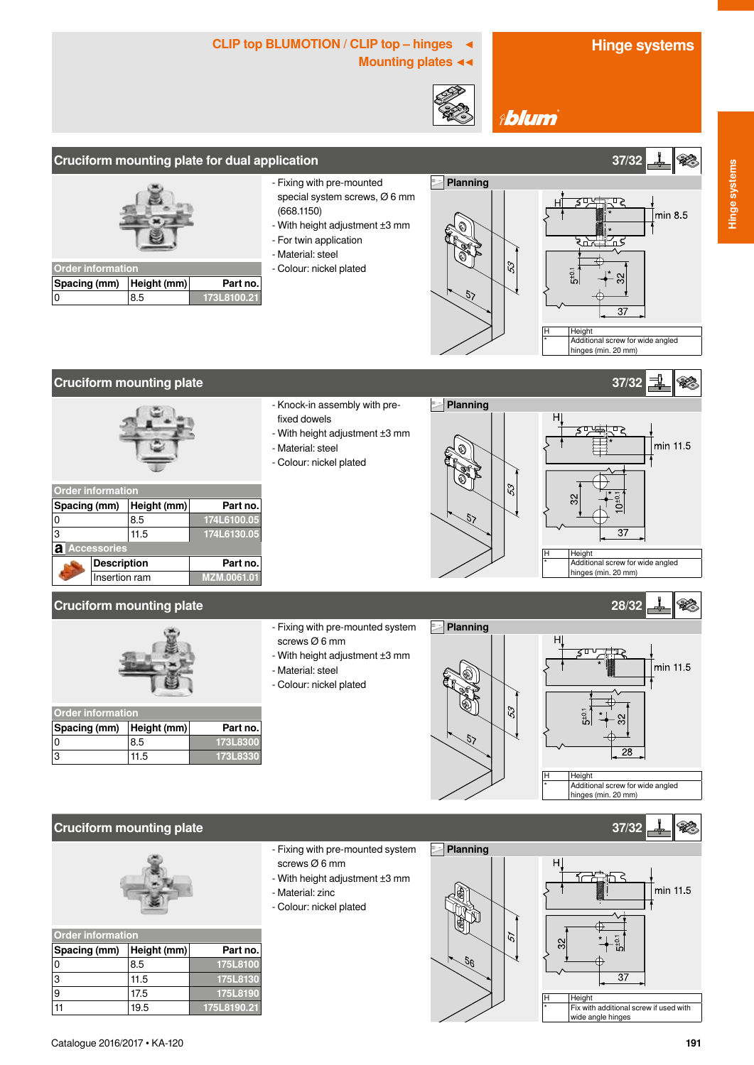min 8.5

**SEP** 

## CLIP top BLUMOTION / CLIP top – hinges ◀ **Hinge systems**

**Mounting plates ◀◀**



**Planning**

 $\overline{5}$ 

**Ablum** 

### **Cruciform mounting plate for dual application 37/32**



| <b>Order information</b> |     |             |
|--------------------------|-----|-------------|
| Spacing (mm) Height (mm) |     | Part no.    |
|                          | 8.5 | 173L8100.21 |

- Fixing with pre-mounted special system screws, Ø 6 mm (668.1150)
- With height adjustment ±3 mm
- For twin application

- Knock-in assembly with pre-

- With height adjustment ±3 mm

- Material: steel

fixed dowels

- Material: steel - Colour: nickel plated

- Colour: nickel plated



53



Height Additional screw for wide angled hinges (min. 20 mm)

Order information<br>**Spacing (mm)** Height (mm) **Spacing (mm) Height (mm) Part no.**<br>0 **8.5 Part 174L6100.05** 0 8.5 **174L6100.05** 3 11.5 **174L6130.05 Accessories Description Part no. Insertion ram MZM.0061.01** 

#### **Cruciform mounting plate 28/32**



| <b>Order information</b> |      |          |
|--------------------------|------|----------|
| Spacing (mm) Height (mm) |      | Part no. |
|                          | 8.5  | 173L8300 |
| l3                       | 11.5 | 173L8330 |

- Fixing with pre-mounted system screws Ø 6 mm
- 
- With height adjustment ±3 mm
- Material: steel
- Colour: nickel plated





#### **Cruciform mounting plate 37/32**



| <b>Order information</b> |             |             |
|--------------------------|-------------|-------------|
| Spacing (mm)             | Height (mm) | Part no.    |
| 0                        | 8.5         | 175L8100    |
| 3                        | 11.5        | 175L8130    |
| 9                        | 17.5        | 175L8190    |
|                          | 19.5        | 175L8190.21 |

- Fixing with pre-mounted system screws Ø 6 mm
- With height adjustment ±3 mm
- Material: zinc
- Colour: nickel plated





Height Fix with additional screw if used with wide angle hinges